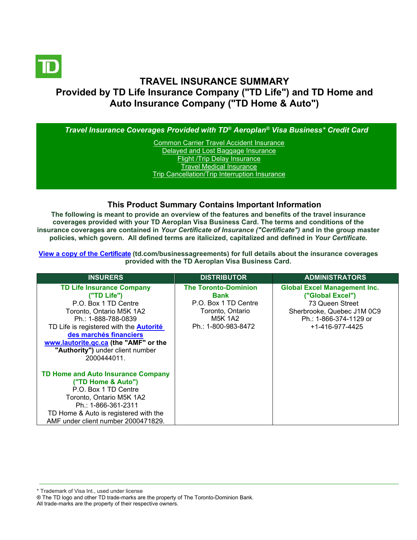

# **TRAVEL INSURANCE SUMMARY Provided by TD Life Insurance Company ("TD Life") and TD Home and Auto Insurance Company ("TD Home & Auto")**

*Travel Insurance Coverages Provided with TD® Aeroplan® Visa Business\* Credit Card* [Common Carrier Travel Accident Insurance](#page-3-0)

[Delayed and Lost Baggage Insurance](#page-4-0) [Flight /Trip Delay Insurance](#page-5-0) [Travel Medical Insurance](#page-6-0) [Trip Cancellation/Trip Interruption Insurance](#page-7-0)

#### **This Product Summary Contains Important Information**

**The following is meant to provide an overview of the features and benefits of the travel insurance coverages provided with your TD Aeroplan Visa Business Card. The terms and conditions of the insurance coverages are contained in** *Your Certificate of Insurance ("Certificate")* **and in the group master policies, which govern. All defined terms are italicized, capitalized and defined in** *Your Certificate***.**

**[View a copy of the Certificate](https://www.td.com/businessagreements) (td.com/businessagreements) for full details about the insurance coverages provided with the TD Aeroplan Visa Business Card.** 

| <b>INSURERS</b>                                                                                                                                                                                                                                                                                    | <b>DISTRIBUTOR</b>                                                                                                       | <b>ADMINISTRATORS</b>                                                                                                                                         |
|----------------------------------------------------------------------------------------------------------------------------------------------------------------------------------------------------------------------------------------------------------------------------------------------------|--------------------------------------------------------------------------------------------------------------------------|---------------------------------------------------------------------------------------------------------------------------------------------------------------|
| <b>TD Life Insurance Company</b><br>("TD Life")<br>P.O. Box 1 TD Centre<br>Toronto, Ontario M5K 1A2<br>Ph.: 1-888-788-0839<br>TD Life is registered with the <b>Autorité</b><br>des marchés financiers<br>www.lautorite.gc.ca (the "AMF" or the<br>"Authority") under client number<br>2000444011. | <b>The Toronto-Dominion</b><br>Bank<br>P.O. Box 1 TD Centre<br>Toronto, Ontario<br><b>M5K 1A2</b><br>Ph.: 1-800-983-8472 | <b>Global Excel Management Inc.</b><br>("Global Excel")<br>73 Queen Street<br>Sherbrooke, Quebec J1M 0C9<br>Ph.: 1-866-374-1129 or<br>$+1 - 416 - 977 - 4425$ |
| TD Home and Auto Insurance Company<br>("TD Home & Auto")<br>P.O. Box 1 TD Centre<br>Toronto, Ontario M5K 1A2<br>Ph.: 1-866-361-2311<br>TD Home & Auto is registered with the<br>AMF under client number 2000471829.                                                                                |                                                                                                                          |                                                                                                                                                               |

\* Trademark of Visa Int., used under license

All trade-marks are the property of their respective owners.

<sup>®</sup> The TD logo and other TD trade-marks are the property of The Toronto-Dominion Bank.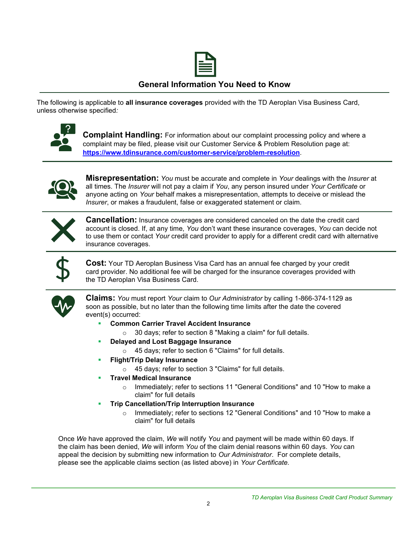

## **General Information You Need to Know**

The following is applicable to **all insurance coverages** provided with the TD Aeroplan Visa Business Card, unless otherwise specified*:*



**Complaint Handling:** For information about our complaint processing policy and where a complaint may be filed, please visit our Customer Service & Problem Resolution page at: **<https://www.tdinsurance.com/customer-service/problem-resolution>**.



**Misrepresentation:** *You* must be accurate and complete in *Your* dealings with the *Insurer* at all times. The *Insurer* will not pay a claim if *You*, any person insured under *Your Certificate* or anyone acting on *Your* behalf makes a misrepresentation, attempts to deceive or mislead the *Insurer*, or makes a fraudulent, false or exaggerated statement or claim.



**Cancellation:** Insurance coverages are considered canceled on the date the credit card account is closed. If, at any time, *You* don't want these insurance coverages, *You* can decide not to use them or contact *Your* credit card provider to apply for a different credit card with alternative insurance coverages.



**Cost:** Your TD Aeroplan Business Visa Card has an annual fee charged by your credit card provider. No additional fee will be charged for the insurance coverages provided with the TD Aeroplan Visa Business Card.



**Claims:** *You* must report *Your* claim to *Our Administrator* by calling 1-866-374-1129 as soon as possible, but no later than the following time limits after the date the covered event(s) occurred:

- **Common Carrier Travel Accident Insurance** 
	- $\circ$  30 days; refer to section 8 "Making a claim" for full details.
- **Delayed and Lost Baggage Insurance** 
	- o 45 days; refer to section 6 "Claims" for full details.
- **Flight/Trip Delay Insurance** 
	- o 45 days; refer to section 3 "Claims" for full details.
- **Travel Medical Insurance** 
	- o Immediately; refer to sections 11 "General Conditions" and 10 "How to make a claim" for full details
- **Trip Cancellation/Trip Interruption Insurance** 
	- o Immediately; refer to sections 12 "General Conditions" and 10 "How to make a claim" for full details

Once *We* have approved the claim, *We* will notify *You* and payment will be made within 60 days. If the claim has been denied, *We* will inform *You* of the claim denial reasons within 60 days. *You* can appeal the decision by submitting new information to *Our Administrator*. For complete details, please see the applicable claims section (as listed above) in *Your Certificate.*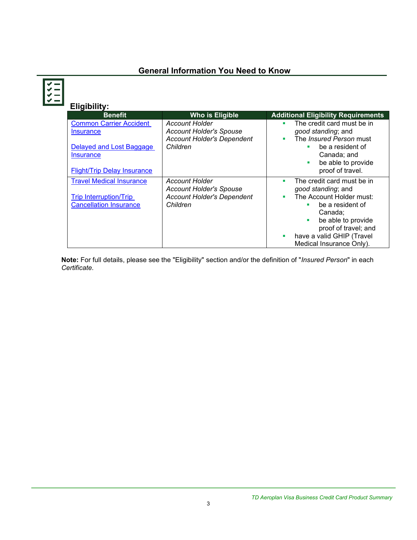# **General Information You Need to Know**

**Eligibility:**

| <b>Benefit</b>                                                                                                                           | Who is Eligible                                                                                          | <b>Additional Eligibility Requirements</b>                                                                                                                                                                                   |
|------------------------------------------------------------------------------------------------------------------------------------------|----------------------------------------------------------------------------------------------------------|------------------------------------------------------------------------------------------------------------------------------------------------------------------------------------------------------------------------------|
| <b>Common Carrier Accident</b><br><b>Insurance</b><br>Delayed and Lost Baggage<br><b>Insurance</b><br><b>Flight/Trip Delay Insurance</b> | <b>Account Holder</b><br><b>Account Holder's Spouse</b><br><b>Account Holder's Dependent</b><br>Children | The credit card must be in<br>٠<br>good standing; and<br>The Insured Person must<br>٠<br>be a resident of<br>Canada; and<br>be able to provide<br>proof of travel.                                                           |
| <b>Travel Medical Insurance</b><br><b>Trip Interruption/Trip</b><br><b>Cancellation Insurance</b>                                        | <b>Account Holder</b><br><b>Account Holder's Spouse</b><br><b>Account Holder's Dependent</b><br>Children | The credit card must be in<br>٠<br>good standing; and<br>The Account Holder must:<br>٠<br>be a resident of<br>Canada:<br>be able to provide<br>proof of travel; and<br>have a valid GHIP (Travel<br>Medical Insurance Only). |

**Note:** For full details, please see the "Eligibility" section and/or the definition of "*Insured Person*" in each *Certificate*.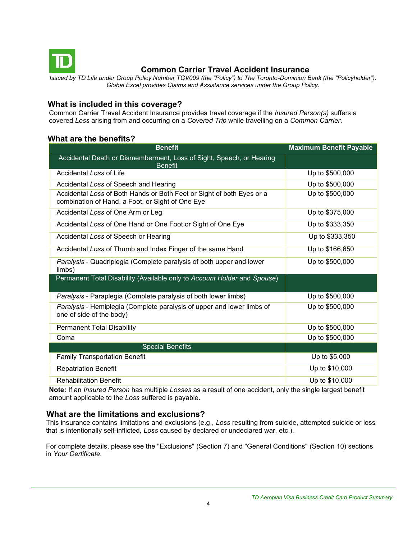<span id="page-3-0"></span>

# **Common Carrier Travel Accident Insurance**

*Issued by TD Life under Group Policy Number TGV009 (the "Policy") to The Toronto-Dominion Bank (the "Policyholder"). Global Excel provides Claims and Assistance services under the Group Policy.*

## **What is included in this coverage?**

Common Carrier Travel Accident Insurance provides travel coverage if the *Insured Person(s)* suffers a covered *Loss* arising from and occurring on a *Covered Trip* while travelling on a *Common Carrier*.

## **What are the benefits?**

| <b>Benefit</b>                                                                                                            | <b>Maximum Benefit Payable</b> |
|---------------------------------------------------------------------------------------------------------------------------|--------------------------------|
| Accidental Death or Dismemberment, Loss of Sight, Speech, or Hearing<br><b>Benefit</b>                                    |                                |
| Accidental Loss of Life                                                                                                   | Up to \$500,000                |
| Accidental Loss of Speech and Hearing                                                                                     | Up to \$500,000                |
| Accidental Loss of Both Hands or Both Feet or Sight of both Eyes or a<br>combination of Hand, a Foot, or Sight of One Eye | Up to \$500,000                |
| Accidental Loss of One Arm or Leg                                                                                         | Up to \$375,000                |
| Accidental Loss of One Hand or One Foot or Sight of One Eye                                                               | Up to \$333,350                |
| Accidental Loss of Speech or Hearing                                                                                      | Up to \$333,350                |
| Accidental Loss of Thumb and Index Finger of the same Hand                                                                | Up to \$166,650                |
| Paralysis - Quadriplegia (Complete paralysis of both upper and lower<br>limbs)                                            | Up to \$500,000                |
| Permanent Total Disability (Available only to Account Holder and Spouse)                                                  |                                |
| Paralysis - Paraplegia (Complete paralysis of both lower limbs)                                                           | Up to \$500,000                |
| Paralysis - Hemiplegia (Complete paralysis of upper and lower limbs of<br>one of side of the body)                        | Up to \$500,000                |
| <b>Permanent Total Disability</b>                                                                                         | Up to \$500,000                |
| Coma                                                                                                                      | Up to \$500,000                |
| <b>Special Benefits</b>                                                                                                   |                                |
| <b>Family Transportation Benefit</b>                                                                                      | Up to \$5,000                  |
| <b>Repatriation Benefit</b>                                                                                               | Up to \$10,000                 |
| <b>Rehabilitation Benefit</b>                                                                                             | Up to \$10,000                 |

**Note:** If an *Insured Person* has multiple *Losses* as a result of one accident, only the single largest benefit amount applicable to the *Loss* suffered is payable.

#### **What are the limitations and exclusions?**

This insurance contains limitations and exclusions (e.g., *Loss* resulting from suicide, attempted suicide or loss that is intentionally self-inflicted*, Loss* caused by declared or undeclared war, etc.).

For complete details, please see the "Exclusions" (Section 7) and "General Conditions" (Section 10) sections in *Your Certificate.*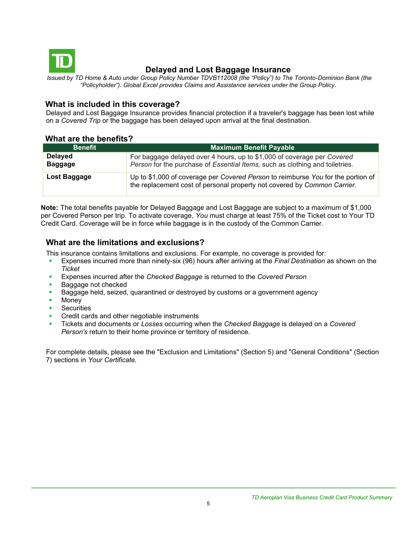<span id="page-4-0"></span>

# **Delayed and Lost Baggage Insurance**

*Issued by TD Home & Auto under Group Policy Number TDVB112008 (the "Policy") to The Toronto-Dominion Bank (the "Policyholder"). Global Excel provides Claims and Assistance services under the Group Policy.*

### **What is included in this coverage?**

Delayed and Lost Baggage Insurance provides financial protection if a traveler's baggage has been lost while on a *Covered Trip* or the baggage has been delayed upon arrival at the final destination.

#### **What are the benefits?**

| <b>Benefit</b>                   | <b>Maximum Benefit Payable</b>                                                                                                                               |
|----------------------------------|--------------------------------------------------------------------------------------------------------------------------------------------------------------|
| <b>Delayed</b><br><b>Baggage</b> | For baggage delayed over 4 hours, up to \$1,000 of coverage per Covered<br>Person for the purchase of Essential Items, such as clothing and toiletries.      |
| Lost Baggage                     | Up to \$1,000 of coverage per Covered Person to reimburse You for the portion of<br>the replacement cost of personal property not covered by Common Carrier. |

**Note:** The total benefits payable for Delayed Baggage and Lost Baggage are subject to a maximum of \$1,000 per Covered Person per trip. To activate coverage, *You* must charge at least 75% of the Ticket cost to Your TD Credit Card. Coverage will be in force while baggage is in the custody of the Common Carrier.

#### **What are the limitations and exclusions?**

This insurance contains limitations and exclusions. For example, no coverage is provided for:

- Expenses incurred more than ninety-six (96) hours after arriving at the *Final Destination* as shown on the *Ticket*
- Expenses incurred after the *Checked Baggage* is returned to the *Covered Person*
- Baggage not checked
- **EXED** Baggage held, seized, quarantined or destroyed by customs or a government agency
- Money
- **Securities**
- Credit cards and other negotiable instruments
- Tickets and documents or *Losses* occurring when the *Checked Baggage* is delayed on a *Covered Person's* return to their home province or territory of residence.

For complete details, please see the "Exclusion and Limitations" (Section 5) and "General Conditions" (Section 7) sections in *Your Certificate.*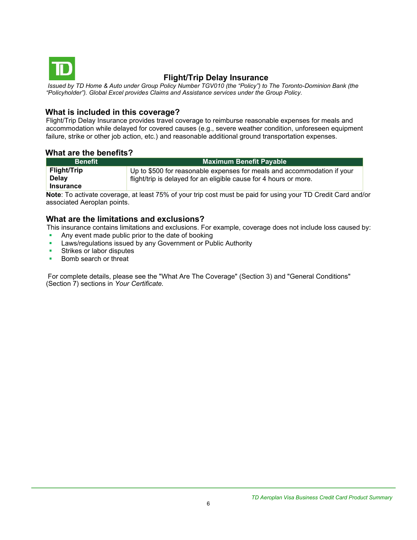<span id="page-5-0"></span>

## **Flight/Trip Delay Insurance**

*Issued by TD Home & Auto under Group Policy Number TGV010 (the "Policy") to The Toronto-Dominion Bank (the "Policyholder"). Global Excel provides Claims and Assistance services under the Group Policy.*

#### **What is included in this coverage?**

Flight/Trip Delay Insurance provides travel coverage to reimburse reasonable expenses for meals and accommodation while delayed for covered causes (e.g., severe weather condition, unforeseen equipment failure, strike or other job action, etc.) and reasonable additional ground transportation expenses.

## **What are the benefits?**

| <b>Benefit</b>                                         | <b>Maximum Benefit Payable</b>                                                                                                               |
|--------------------------------------------------------|----------------------------------------------------------------------------------------------------------------------------------------------|
| <b>Flight/Trip</b><br><b>Delay</b><br><b>Insurance</b> | Up to \$500 for reasonable expenses for meals and accommodation if your<br>flight/trip is delayed for an eligible cause for 4 hours or more. |

**Note**: To activate coverage, at least 75% of your trip cost must be paid for using your TD Credit Card and/or associated Aeroplan points.

## **What are the limitations and exclusions?**

This insurance contains limitations and exclusions. For example, coverage does not include loss caused by:

- Any event made public prior to the date of booking
- Laws/regulations issued by any Government or Public Authority
- **EXECUTE:** Strikes or labor disputes
- Bomb search or threat

For complete details, please see the "What Are The Coverage" (Section 3) and "General Conditions" (Section 7) sections in *Your Certificate.*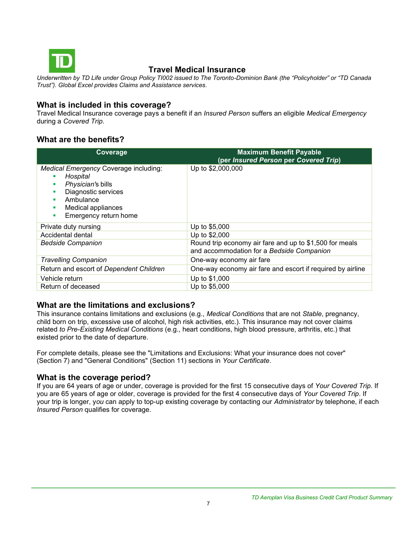<span id="page-6-0"></span>

# **Travel Medical Insurance**

*Underwritten by TD Life under Group Policy TI002 issued to The Toronto-Dominion Bank (the "Policyholder" or "TD Canada Trust"). Global Excel provides Claims and Assistance services.*

## **What is included in this coverage?**

Travel Medical Insurance coverage pays a benefit if an *Insured Person* suffers an eligible *Medical Emergency*  during a *Covered Trip*.

# **What are the benefits?**

| Coverage                                                                                                                                                       | <b>Maximum Benefit Payable</b><br>(per Insured Person per Covered Trip)                              |
|----------------------------------------------------------------------------------------------------------------------------------------------------------------|------------------------------------------------------------------------------------------------------|
| Medical Emergency Coverage including:<br>Hospital<br>Physician's bills<br>Diagnostic services<br>Ambulance<br>Medical appliances<br>Emergency return home<br>ш | Up to \$2,000,000                                                                                    |
| Private duty nursing                                                                                                                                           | Up to \$5,000                                                                                        |
| Accidental dental                                                                                                                                              | Up to \$2,000                                                                                        |
| <b>Bedside Companion</b>                                                                                                                                       | Round trip economy air fare and up to \$1,500 for meals<br>and accommodation for a Bedside Companion |
| <b>Travelling Companion</b>                                                                                                                                    | One-way economy air fare                                                                             |
| Return and escort of Dependent Children                                                                                                                        | One-way economy air fare and escort if required by airline                                           |
| Vehicle return                                                                                                                                                 | Up to \$1,000                                                                                        |
| Return of deceased                                                                                                                                             | Up to \$5,000                                                                                        |

## **What are the limitations and exclusions?**

This insurance contains limitations and exclusions (e.g., *Medical Conditions* that are not *Stable*, pregnancy, child born on trip, excessive use of alcohol, high risk activities, etc.). This insurance may not cover claims related *to Pre-Existing Medical Conditions* (e.g., heart conditions, high blood pressure, arthritis, etc.) that existed prior to the date of departure.

For complete details, please see the "Limitations and Exclusions: What your insurance does not cover" (Section 7) and "General Conditions" (Section 11) sections in *Your Certificate*.

#### **What is the coverage period?**

If you are 64 years of age or under, coverage is provided for the first 15 consecutive days of *Your Covered Trip*. If you are 65 years of age or older, coverage is provided for the first 4 consecutive days of *Your Covered Trip*. If your trip is longer, y*ou* can apply to top-up existing coverage by contacting our *Administrator* by telephone, if each *Insured Person* qualifies for coverage.